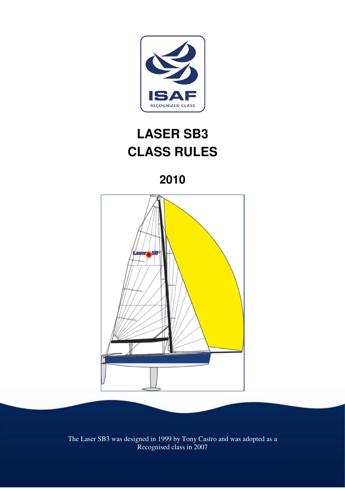

# **LASER SB3 CLASS RULES**

**2010** 



The Laser SB3 was designed in 1999 by Tony Castro and was adopted as a Recognised class in 2007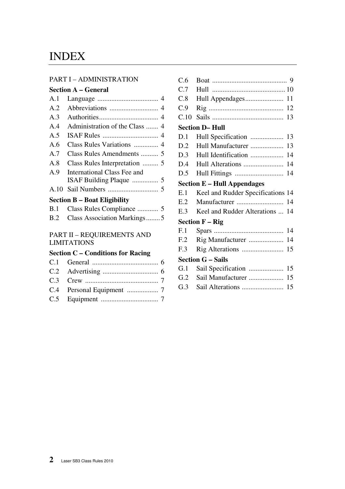# INDEX

#### PART I – ADMINISTRATION

#### **Section A – General**

| A.1            |                             |
|----------------|-----------------------------|
| A.2            |                             |
| A.3            |                             |
| A.4            |                             |
| A <sub>5</sub> |                             |
| A.6            |                             |
| A.7            | Class Rules Amendments  5   |
| A.8            |                             |
| A <sub>9</sub> | International Class Fee and |
|                |                             |
|                |                             |
|                |                             |

#### **Section B – Boat Eligibility**

| B.2 Class Association Markings5 |
|---------------------------------|

#### PART II – REQUIREMENTS AND LIMITATIONS

# **Section C – Conditions for Racing**

| C.6  |                                     |    |
|------|-------------------------------------|----|
| C.7  |                                     |    |
| C.8  |                                     |    |
| C.9  |                                     | 12 |
| C.10 |                                     | 13 |
|      | <b>Section D-Hull</b>               |    |
| D.1  | Hull Specification                  | 13 |
| D.2  | Hull Manufacturer                   | 13 |
| D.3  | Hull Identification                 | 14 |
| D.4  |                                     | 14 |
| D.5  |                                     | 14 |
|      | <b>Section E - Hull Appendages</b>  |    |
| E.1  | Keel and Rudder Specifications 14   |    |
| E.2  | Manufacturer                        | 14 |
| E.3  | Keel and Rudder Alterations         | 14 |
|      | <b>Section <math>F - Rig</math></b> |    |
| F.1  |                                     | 14 |
| F.2  | Rig Manufacturer                    | 14 |
| F.3  |                                     | 15 |
|      | <b>Section G – Sails</b>            |    |
| G.1  |                                     | 15 |
| G.2  | Sail Manufacturer                   | 15 |
| G.3  |                                     | 15 |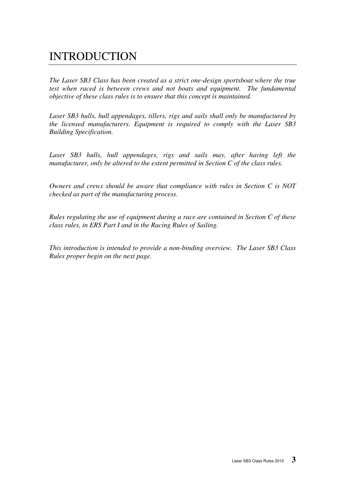# INTRODUCTION

*The Laser SB3 Class has been created as a strict one-design sportsboat where the true test when raced is between crews and not boats and equipment. The fundamental objective of these class rules is to ensure that this concept is maintained.* 

*Laser SB3 hulls, hull appendages, tillers, rigs and sails shall only be manufactured by the licensed manufacturers. Equipment is required to comply with the Laser SB3 Building Specification.* 

Laser SB3 hulls, hull appendages, rigs and sails may, after having left the *manufacturer, only be altered to the extent permitted in Section C of the class rules.*

*Owners and crews should be aware that compliance with rules in Section C is NOT checked as part of the manufacturing process.* 

*Rules regulating the use of equipment during a race are contained in Section C of these class rules, in ERS Part I and in the Racing Rules of Sailing.* 

*This introduction is intended to provide a non-binding overview. The Laser SB3 Class Rules proper begin on the next page.*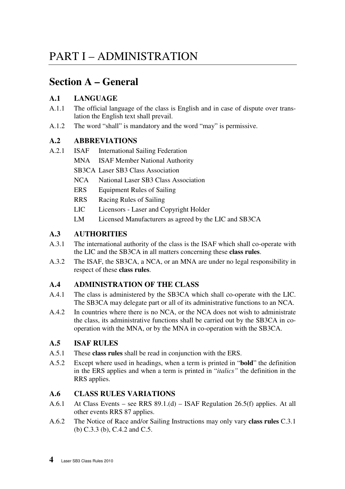# PART I – ADMINISTRATION

# **Section A – General**

# **A.1 LANGUAGE**

- A.1.1 The official language of the class is English and in case of dispute over translation the English text shall prevail.
- A.1.2 The word "shall" is mandatory and the word "may" is permissive.

# **A.2 ABBREVIATIONS**

- A.2.1 ISAF International Sailing Federation
	- MNA ISAF Member National Authority
		- SB3CA Laser SB3 Class Association
		- NCA National Laser SB3 Class Association
		- ERS Equipment Rules of Sailing
		- RRS Racing Rules of Sailing
		- LIC Licensors Laser and Copyright Holder
		- LM Licensed Manufacturers as agreed by the LIC and SB3CA

# **A.3 AUTHORITIES**

- A.3.1 The international authority of the class is the ISAF which shall co-operate with the LIC and the SB3CA in all matters concerning these **class rules**.
- A.3.2 The ISAF, the SB3CA, a NCA, or an MNA are under no legal responsibility in respect of these **class rules**.

# **A.4 ADMINISTRATION OF THE CLASS**

- A.4.1 The class is administered by the SB3CA which shall co-operate with the LIC. The SB3CA may delegate part or all of its administrative functions to an NCA.
- A.4.2 In countries where there is no NCA, or the NCA does not wish to administrate the class, its administrative functions shall be carried out by the SB3CA in cooperation with the MNA, or by the MNA in co-operation with the SB3CA.

# **A.5 ISAF RULES**

- A.5.1 These **class rules** shall be read in conjunction with the ERS.
- A.5.2 Except where used in headings, when a term is printed in "**bold**" the definition in the ERS applies and when a term is printed in "*italics"* the definition in the RRS applies.

# **A.6 CLASS RULES VARIATIONS**

- A.6.1 At Class Events see RRS 89.1.(d) ISAF Regulation 26.5(f) applies. At all other events RRS 87 applies.
- A.6.2 The Notice of Race and/or Sailing Instructions may only vary **class rules** C.3.1 (b) C.3.3 (b), C.4.2 and C.5.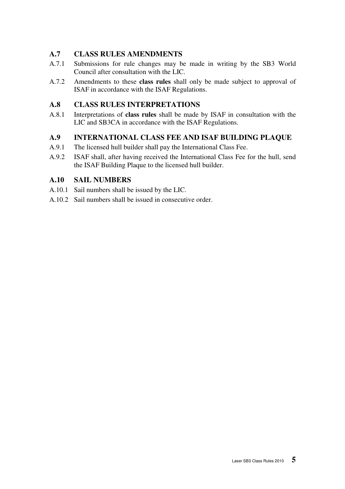# **A.7 CLASS RULES AMENDMENTS**

- A.7.1 Submissions for rule changes may be made in writing by the SB3 World Council after consultation with the LIC.
- A.7.2 Amendments to these **class rules** shall only be made subject to approval of ISAF in accordance with the ISAF Regulations.

### **A.8 CLASS RULES INTERPRETATIONS**

A.8.1 Interpretations of **class rules** shall be made by ISAF in consultation with the LIC and SB3CA in accordance with the ISAF Regulations.

# **A.9 INTERNATIONAL CLASS FEE AND ISAF BUILDING PLAQUE**

- A.9.1 The licensed hull builder shall pay the International Class Fee.
- A.9.2 ISAF shall, after having received the International Class Fee for the hull, send the ISAF Building Plaque to the licensed hull builder.

# **A.10 SAIL NUMBERS**

- A.10.1 Sail numbers shall be issued by the LIC.
- A.10.2 Sail numbers shall be issued in consecutive order.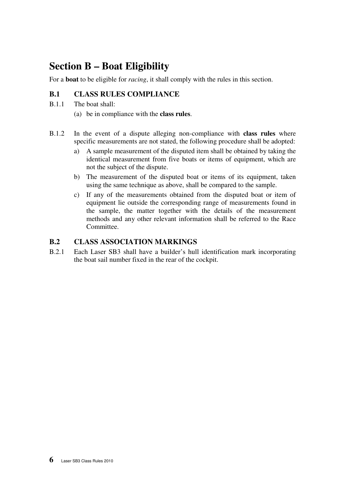# **Section B – Boat Eligibility**

For a **boat** to be eligible for *racing*, it shall comply with the rules in this section.

# **B.1 CLASS RULES COMPLIANCE**

- B.1.1 The boat shall:
	- (a) be in compliance with the **class rules**.
- B.1.2 In the event of a dispute alleging non-compliance with **class rules** where specific measurements are not stated, the following procedure shall be adopted:
	- a) A sample measurement of the disputed item shall be obtained by taking the identical measurement from five boats or items of equipment, which are not the subject of the dispute.
	- b) The measurement of the disputed boat or items of its equipment, taken using the same technique as above, shall be compared to the sample.
	- c) If any of the measurements obtained from the disputed boat or item of equipment lie outside the corresponding range of measurements found in the sample, the matter together with the details of the measurement methods and any other relevant information shall be referred to the Race Committee.

# **B.2 CLASS ASSOCIATION MARKINGS**

B.2.1 Each Laser SB3 shall have a builder's hull identification mark incorporating the boat sail number fixed in the rear of the cockpit.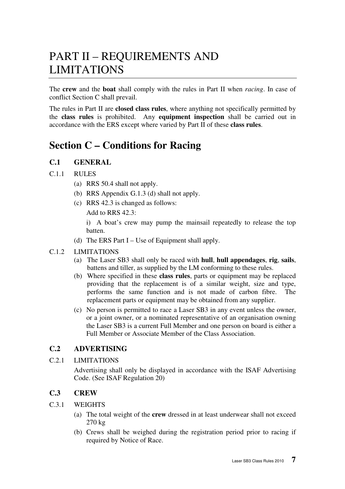# PART II – REQUIREMENTS AND LIMITATIONS

The **crew** and the **boat** shall comply with the rules in Part II when *racing*. In case of conflict Section C shall prevail.

The rules in Part II are **closed class rules**, where anything not specifically permitted by the **class rules** is prohibited. Any **equipment inspection** shall be carried out in accordance with the ERS except where varied by Part II of these **class rules**.

# **Section C – Conditions for Racing**

# **C.1 GENERAL**

#### C.1.1 RULES

- (a) RRS 50.4 shall not apply.
- (b) RRS Appendix G.1.3 (d) shall not apply.
- (c) RRS 42.3 is changed as follows:

Add to RRS 42.3:

 i) A boat's crew may pump the mainsail repeatedly to release the top batten.

(d) The ERS Part I – Use of Equipment shall apply.

#### C.1.2 LIMITATIONS

- (a) The Laser SB3 shall only be raced with **hull**, **hull appendages**, **rig**, **sails**, battens and tiller, as supplied by the LM conforming to these rules.
- (b) Where specified in these **class rules**, parts or equipment may be replaced providing that the replacement is of a similar weight, size and type, performs the same function and is not made of carbon fibre. The replacement parts or equipment may be obtained from any supplier.
- (c) No person is permitted to race a Laser SB3 in any event unless the owner, or a joint owner, or a nominated representative of an organisation owning the Laser SB3 is a current Full Member and one person on board is either a Full Member or Associate Member of the Class Association.

# **C.2 ADVERTISING**

#### C.2.1 LIMITATIONS

 Advertising shall only be displayed in accordance with the ISAF Advertising Code. (See ISAF Regulation 20)

### **C.3 CREW**

#### C.3.1 WEIGHTS

- (a) The total weight of the **crew** dressed in at least underwear shall not exceed 270 kg
- (b) Crews shall be weighed during the registration period prior to racing if required by Notice of Race.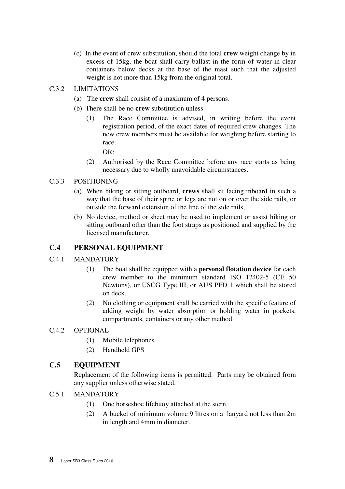(c) In the event of crew substitution, should the total **crew** weight change by in excess of 15kg, the boat shall carry ballast in the form of water in clear containers below decks at the base of the mast such that the adjusted weight is not more than 15kg from the original total.

#### C.3.2 LIMITATIONS

- (a) The **crew** shall consist of a maximum of 4 persons.
- (b) There shall be no **crew** substitution unless:
	- (1) The Race Committee is advised, in writing before the event registration period, of the exact dates of required crew changes. The new crew members must be available for weighing before starting to race.

 $OR<sup>2</sup>$ 

(2) Authorised by the Race Committee before any race starts as being necessary due to wholly unavoidable circumstances.

#### C.3.3 POSITIONING

- (a) When hiking or sitting outboard, **crews** shall sit facing inboard in such a way that the base of their spine or legs are not on or over the side rails, or outside the forward extension of the line of the side rails,
- (b) No device, method or sheet may be used to implement or assist hiking or sitting outboard other than the foot straps as positioned and supplied by the licensed manufacturer.

#### **C.4 PERSONAL EQUIPMENT**

#### C.4.1 MANDATORY

- (1) The boat shall be equipped with a **personal flotation device** for each crew member to the minimum standard ISO 12402-5 (CE 50 Newtons), or USCG Type III, or AUS PFD 1 which shall be stored on deck.
- (2) No clothing or equipment shall be carried with the specific feature of adding weight by water absorption or holding water in pockets, compartments, containers or any other method.

#### C.4.2 OPTIONAL

- (1) Mobile telephones
- (2) Handheld GPS

#### **C.5 EQUIPMENT**

Replacement of the following items is permitted. Parts may be obtained from any supplier unless otherwise stated.

#### C.5.1 MANDATORY

- (1) One horseshoe lifebuoy attached at the stern.
- (2) A bucket of minimum volume 9 litres on a lanyard not less than 2m in length and 4mm in diameter.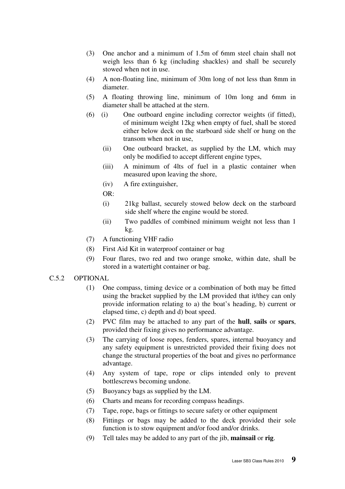- (3) One anchor and a minimum of 1.5m of 6mm steel chain shall not weigh less than 6 kg (including shackles) and shall be securely stowed when not in use.
- (4) A non-floating line, minimum of 30m long of not less than 8mm in diameter.
- (5) A floating throwing line, minimum of 10m long and 6mm in diameter shall be attached at the stern.
- (6) (i) One outboard engine including corrector weights (if fitted), of minimum weight 12kg when empty of fuel, shall be stored either below deck on the starboard side shelf or hung on the transom when not in use,
	- (ii) One outboard bracket, as supplied by the LM, which may only be modified to accept different engine types,
	- (iii) A minimum of 4lts of fuel in a plastic container when measured upon leaving the shore,
	- (iv) A fire extinguisher,
	- OR:
	- (i) 21kg ballast, securely stowed below deck on the starboard side shelf where the engine would be stored.
	- (ii) Two paddles of combined minimum weight not less than 1 kg.
- (7) A functioning VHF radio
- (8) First Aid Kit in waterproof container or bag
- (9) Four flares, two red and two orange smoke, within date, shall be stored in a watertight container or bag.

#### C.5.2 OPTIONAL

- (1) One compass, timing device or a combination of both may be fitted using the bracket supplied by the LM provided that it/they can only provide information relating to a) the boat's heading, b) current or elapsed time, c) depth and d) boat speed.
- (2) PVC film may be attached to any part of the **hull**, **sails** or **spars**, provided their fixing gives no performance advantage.
- (3) The carrying of loose ropes, fenders, spares, internal buoyancy and any safety equipment is unrestricted provided their fixing does not change the structural properties of the boat and gives no performance advantage.
- (4) Any system of tape, rope or clips intended only to prevent bottlescrews becoming undone.
- (5) Buoyancy bags as supplied by the LM.
- (6) Charts and means for recording compass headings.
- (7) Tape, rope, bags or fittings to secure safety or other equipment
- (8) Fittings or bags may be added to the deck provided their sole function is to stow equipment and/or food and/or drinks.
- (9) Tell tales may be added to any part of the jib, **mainsail** or **rig**.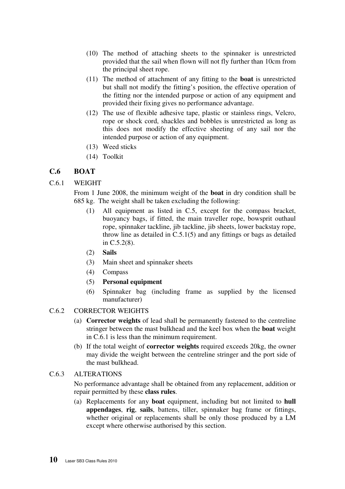- (10) The method of attaching sheets to the spinnaker is unrestricted provided that the sail when flown will not fly further than 10cm from the principal sheet rope.
- (11) The method of attachment of any fitting to the **boat** is unrestricted but shall not modify the fitting's position, the effective operation of the fitting nor the intended purpose or action of any equipment and provided their fixing gives no performance advantage.
- (12) The use of flexible adhesive tape, plastic or stainless rings, Velcro, rope or shock cord, shackles and bobbles is unrestricted as long as this does not modify the effective sheeting of any sail nor the intended purpose or action of any equipment.
- (13) Weed sticks
- (14) Toolkit

#### **C.6 BOAT**

#### C.6.1 WEIGHT

 From 1 June 2008, the minimum weight of the **boat** in dry condition shall be 685 kg. The weight shall be taken excluding the following:

- (1) All equipment as listed in C.5, except for the compass bracket, buoyancy bags, if fitted, the main traveller rope, bowsprit outhaul rope, spinnaker tackline, jib tackline, jib sheets, lower backstay rope, throw line as detailed in C.5.1(5) and any fittings or bags as detailed in C.5.2(8).
- (2) **Sails**
- (3) Main sheet and spinnaker sheets
- (4) Compass
- (5) **Personal equipment**
- (6) Spinnaker bag (including frame as supplied by the licensed manufacturer)

#### C.6.2 CORRECTOR WEIGHTS

- (a) **Corrector weights** of lead shall be permanently fastened to the centreline stringer between the mast bulkhead and the keel box when the **boat** weight in C.6.1 is less than the minimum requirement.
- (b) If the total weight of **corrector weights** required exceeds 20kg, the owner may divide the weight between the centreline stringer and the port side of the mast bulkhead.

#### C.6.3 ALTERATIONS

No performance advantage shall be obtained from any replacement, addition or repair permitted by these **class rules**.

(a) Replacements for any **boat** equipment, including but not limited to **hull appendages**, **rig**, **sails**, battens, tiller, spinnaker bag frame or fittings, whether original or replacements shall be only those produced by a LM except where otherwise authorised by this section.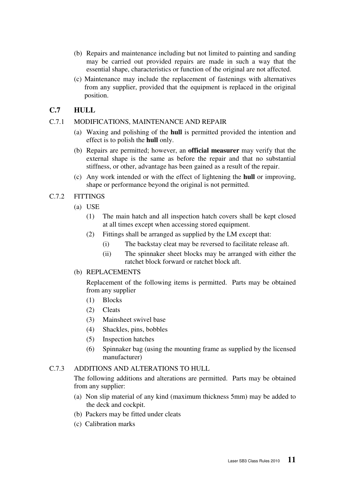- (b) Repairs and maintenance including but not limited to painting and sanding may be carried out provided repairs are made in such a way that the essential shape, characteristics or function of the original are not affected.
- (c) Maintenance may include the replacement of fastenings with alternatives from any supplier, provided that the equipment is replaced in the original position.

### **C.7 HULL**

#### C.7.1 MODIFICATIONS, MAINTENANCE AND REPAIR

- (a) Waxing and polishing of the **hull** is permitted provided the intention and effect is to polish the **hull** only.
- (b) Repairs are permitted; however, an **official measurer** may verify that the external shape is the same as before the repair and that no substantial stiffness, or other, advantage has been gained as a result of the repair.
- (c) Any work intended or with the effect of lightening the **hull** or improving, shape or performance beyond the original is not permitted.

#### C.7.2 FITTINGS

- (a) USE
	- (1) The main hatch and all inspection hatch covers shall be kept closed at all times except when accessing stored equipment.
	- (2) Fittings shall be arranged as supplied by the LM except that:
		- (i) The backstay cleat may be reversed to facilitate release aft.
		- (ii) The spinnaker sheet blocks may be arranged with either the ratchet block forward or ratchet block aft.

#### (b) REPLACEMENTS

Replacement of the following items is permitted. Parts may be obtained from any supplier

- (1) Blocks
- (2) Cleats
- (3) Mainsheet swivel base
- (4) Shackles, pins, bobbles
- (5) Inspection hatches
- (6) Spinnaker bag (using the mounting frame as supplied by the licensed manufacturer)

#### C.7.3 ADDITIONS AND ALTERATIONS TO HULL

 The following additions and alterations are permitted. Parts may be obtained from any supplier:

- (a) Non slip material of any kind (maximum thickness 5mm) may be added to the deck and cockpit.
- (b) Packers may be fitted under cleats
- (c) Calibration marks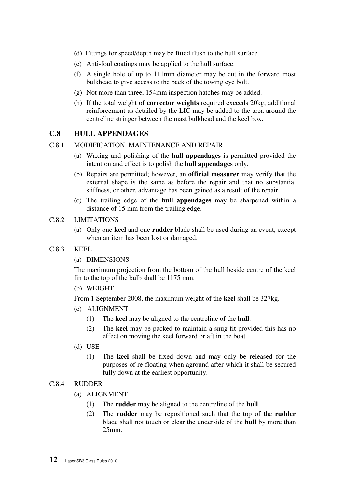- (d) Fittings for speed/depth may be fitted flush to the hull surface.
- (e) Anti-foul coatings may be applied to the hull surface.
- (f) A single hole of up to 111mm diameter may be cut in the forward most bulkhead to give access to the back of the towing eye bolt.
- (g) Not more than three, 154mm inspection hatches may be added.
- (h) If the total weight of **corrector weights** required exceeds 20kg, additional reinforcement as detailed by the LIC may be added to the area around the centreline stringer between the mast bulkhead and the keel box.

#### **C.8 HULL APPENDAGES**

#### C.8.1 MODIFICATION, MAINTENANCE AND REPAIR

- (a) Waxing and polishing of the **hull appendages** is permitted provided the intention and effect is to polish the **hull appendages** only.
- (b) Repairs are permitted; however, an **official measurer** may verify that the external shape is the same as before the repair and that no substantial stiffness, or other, advantage has been gained as a result of the repair.
- (c) The trailing edge of the **hull appendages** may be sharpened within a distance of 15 mm from the trailing edge.

#### C.8.2 LIMITATIONS

- (a) Only one **keel** and one **rudder** blade shall be used during an event, except when an item has been lost or damaged.
- C.8.3 KEEL
	- (a) DIMENSIONS

The maximum projection from the bottom of the hull beside centre of the keel fin to the top of the bulb shall be 1175 mm.

(b) WEIGHT

From 1 September 2008, the maximum weight of the **keel** shall be 327kg.

- (c) ALIGNMENT
	- (1) The **keel** may be aligned to the centreline of the **hull**.
	- (2) The **keel** may be packed to maintain a snug fit provided this has no effect on moving the keel forward or aft in the boat.
- (d) USE
	- (1) The **keel** shall be fixed down and may only be released for the purposes of re-floating when aground after which it shall be secured fully down at the earliest opportunity.

#### C.8.4 RUDDER

- (a) ALIGNMENT
	- (1) The **rudder** may be aligned to the centreline of the **hull**.
	- (2) The **rudder** may be repositioned such that the top of the **rudder** blade shall not touch or clear the underside of the **hull** by more than 25mm.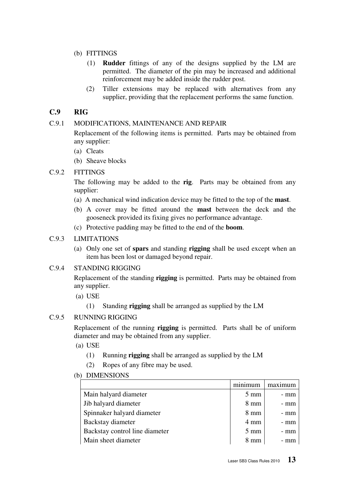- (b) FITTINGS
	- (1) **Rudder** fittings of any of the designs supplied by the LM are permitted. The diameter of the pin may be increased and additional reinforcement may be added inside the rudder post.
	- (2) Tiller extensions may be replaced with alternatives from any supplier, providing that the replacement performs the same function.

# **C.9 RIG**

#### C.9.1 MODIFICATIONS, MAINTENANCE AND REPAIR

 Replacement of the following items is permitted. Parts may be obtained from any supplier:

- (a) Cleats
- (b) Sheave blocks

#### C.9.2 FITTINGS

 The following may be added to the **rig**. Parts may be obtained from any supplier:

- (a) A mechanical wind indication device may be fitted to the top of the **mast**.
- (b) A cover may be fitted around the **mast** between the deck and the gooseneck provided its fixing gives no performance advantage.
- (c) Protective padding may be fitted to the end of the **boom**.

#### C.9.3 LIMITATIONS

(a) Only one set of **spars** and standing **rigging** shall be used except when an item has been lost or damaged beyond repair.

#### C.9.4 STANDING RIGGING

 Replacement of the standing **rigging** is permitted. Parts may be obtained from any supplier.

- (a) USE
	- (1) Standing **rigging** shall be arranged as supplied by the LM

#### C.9.5 RUNNING RIGGING

Replacement of the running **rigging** is permitted. Parts shall be of uniform diameter and may be obtained from any supplier.

- (a) USE
	- (1) Running **rigging** shall be arranged as supplied by the LM
	- (2) Ropes of any fibre may be used.
- (b) DIMENSIONS

|                                | minimum        | maximum |
|--------------------------------|----------------|---------|
| Main halyard diameter          | $5 \text{ mm}$ | - mm    |
| Jib halyard diameter           | $8 \text{ mm}$ | - mm    |
| Spinnaker halyard diameter     | $8 \text{ mm}$ | - mm    |
| Backstay diameter              | 4 mm           | - mm    |
| Backstay control line diameter | $5 \text{ mm}$ | - mm    |
| Main sheet diameter            | 8 mm           | - mm    |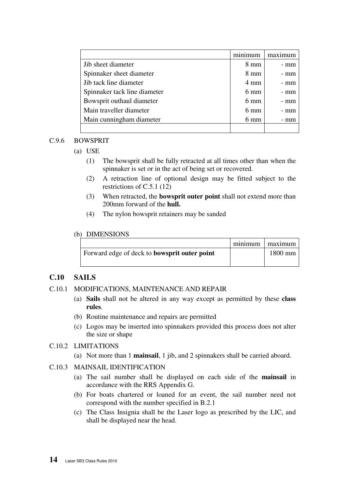|                              | minimum        | $max$ $num$ |
|------------------------------|----------------|-------------|
| Jib sheet diameter           | $8 \text{ mm}$ | - mm        |
| Spinnaker sheet diameter     | $8 \text{ mm}$ | - mm        |
| Jib tack line diameter       | $4 \text{ mm}$ | - mm        |
| Spinnaker tack line diameter | $6 \text{ mm}$ | - mm        |
| Bowsprit outhaul diameter    | $6 \text{ mm}$ | - mm        |
| Main traveller diameter      | $6 \text{ mm}$ | - mm        |
| Main cunningham diameter     | $6 \text{ mm}$ | - mm        |
|                              |                |             |

#### C.9.6 BOWSPRIT

(a) USE

- (1) The bowsprit shall be fully retracted at all times other than when the spinnaker is set or in the act of being set or recovered.
- (2) A retraction line of optional design may be fitted subject to the restrictions of C.5.1 (12)
- (3) When retracted, the **bowsprit outer point** shall not extend more than 200mm forward of the **hull.**
- (4) The nylon bowsprit retainers may be sanded

#### (b) DIMENSIONS

|                                                     | minimum maximum |
|-----------------------------------------------------|-----------------|
| Forward edge of deck to <b>bowsprit outer point</b> | $1800$ mm       |

### **C.10 SAILS**

#### C.10.1 MODIFICATIONS, MAINTENANCE AND REPAIR

- (a) **Sails** shall not be altered in any way except as permitted by these **class rules**.
- (b) Routine maintenance and repairs are permitted
- (c) Logos may be inserted into spinnakers provided this process does not alter the size or shape

#### C.10.2 LIMITATIONS

(a) Not more than 1 **mainsail**, 1 jib, and 2 spinnakers shall be carried aboard.

#### C.10.3 MAINSAIL IDENTIFICATION

- (a) The sail number shall be displayed on each side of the **mainsail** in accordance with the RRS Appendix G.
- (b) For boats chartered or loaned for an event, the sail number need not correspond with the number specified in B.2.1
- (c) The Class Insignia shall be the Laser logo as prescribed by the LIC, and shall be displayed near the head.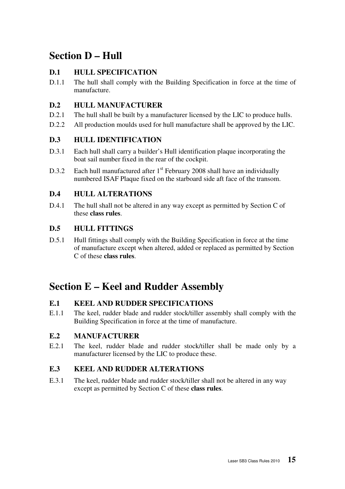# **Section D – Hull**

# **D.1 HULL SPECIFICATION**

D.1.1 The hull shall comply with the Building Specification in force at the time of manufacture.

# **D.2 HULL MANUFACTURER**

- D.2.1 The hull shall be built by a manufacturer licensed by the LIC to produce hulls.
- D.2.2 All production moulds used for hull manufacture shall be approved by the LIC.

# **D.3 HULL IDENTIFICATION**

- D.3.1 Each hull shall carry a builder's Hull identification plaque incorporating the boat sail number fixed in the rear of the cockpit.
- D.3.2 Each hull manufactured after  $1<sup>st</sup>$  February 2008 shall have an individually numbered ISAF Plaque fixed on the starboard side aft face of the transom.

# **D.4 HULL ALTERATIONS**

D.4.1 The hull shall not be altered in any way except as permitted by Section C of these **class rules**.

# **D.5 HULL FITTINGS**

D.5.1 Hull fittings shall comply with the Building Specification in force at the time of manufacture except when altered, added or replaced as permitted by Section C of these **class rules**.

# **Section E – Keel and Rudder Assembly**

# **E.1 KEEL AND RUDDER SPECIFICATIONS**

E.1.1 The keel, rudder blade and rudder stock/tiller assembly shall comply with the Building Specification in force at the time of manufacture.

# **E.2 MANUFACTURER**

E.2.1 The keel, rudder blade and rudder stock/tiller shall be made only by a manufacturer licensed by the LIC to produce these.

# **E.3 KEEL AND RUDDER ALTERATIONS**

E.3.1 The keel, rudder blade and rudder stock/tiller shall not be altered in any way except as permitted by Section C of these **class rules**.